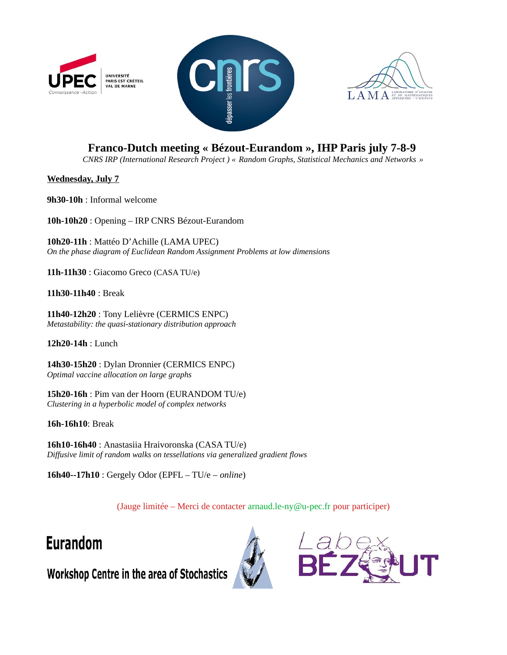





## **Franco-Dutch meeting « Bézout-Eurandom », IHP Paris july 7-8-9**

*CNRS IRP (International Research Project ) « Random Graphs, Statistical Mechanics and Networks »*

**Wednesday, July 7**

**9h30-10h** : Informal welcome

**10h-10h20** : Opening – IRP CNRS Bézout-Eurandom

**10h20-11h** : Mattéo D'Achille (LAMA UPEC) *On the phase diagram of Euclidean Random Assignment Problems at low dimensions*

**11h-11h30** : Giacomo Greco (CASA TU/e)

**11h30-11h40** : Break

**11h40-12h20** : Tony Lelièvre (CERMICS ENPC) *Metastability: the quasi-stationary distribution approach*

**12h20-14h** : Lunch

**14h30-15h20** : Dylan Dronnier (CERMICS ENPC) *Optimal vaccine allocation on large graphs*

**15h20-16h** : Pim van der Hoorn (EURANDOM TU/e) *Clustering in a hyperbolic model of complex networks*

**16h-16h10**: Break

**16h10-16h40** : Anastasiia Hraivoronska (CASA TU/e) *Diffusive limit of random walks on tessellations via generalized gradient flows*

**16h40--17h10** : Gergely Odor (EPFL – TU/e – *online*)

(Jauge limitée – Merci de contacter arnaud.le-ny@u-pec.fr pour participer)

## **Eurandom**





Workshop Centre in the area of Stochastics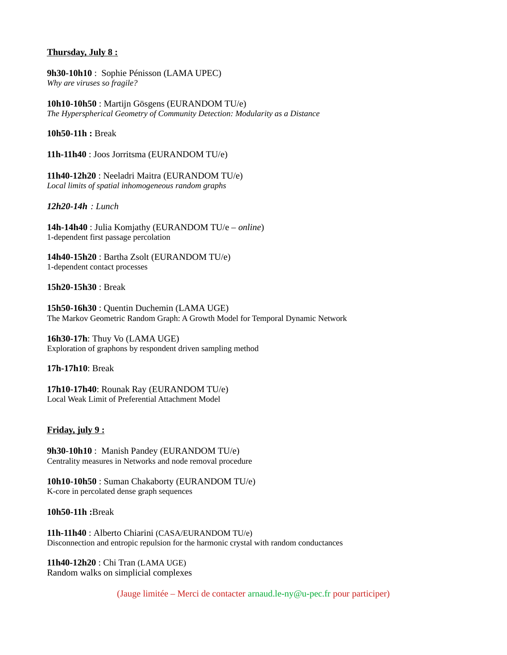## **Thursday, July 8 :**

**9h30-10h10** : Sophie Pénisson (LAMA UPEC) *Why are viruses so fragile?*

**10h10-10h50** : Martijn Gösgens (EURANDOM TU/e) *The Hyperspherical Geometry of Community Detection: Modularity as a Distance*

**10h50-11h :** Break

**11h-11h40** : Joos Jorritsma (EURANDOM TU/e)

**11h40-12h20** : Neeladri Maitra (EURANDOM TU/e) *Local limits of spatial inhomogeneous random graphs*

*12h20-14h : Lunch*

**14h-14h40** : Julia Komjathy (EURANDOM TU/e – *online*) 1-dependent first passage percolation

**14h40-15h20** : Bartha Zsolt (EURANDOM TU/e) 1-dependent contact processes

**15h20-15h30** : Break

**15h50-16h30** : Quentin Duchemin (LAMA UGE) The Markov Geometric Random Graph: A Growth Model for Temporal Dynamic Network

**16h30-17h**: Thuy Vo (LAMA UGE) Exploration of graphons by respondent driven sampling method

**17h-17h10**: Break

**17h10-17h40**: Rounak Ray (EURANDOM TU/e) Local Weak Limit of Preferential Attachment Model

## **Friday, july 9 :**

**9h30**-**10h10** : Manish Pandey (EURANDOM TU/e) Centrality measures in Networks and node removal procedure

**10h10-10h50** : Suman Chakaborty (EURANDOM TU/e) K-core in percolated dense graph sequences

**10h50-11h :**Break

**11h-11h40** : Alberto Chiarini (CASA/EURANDOM TU/e) Disconnection and entropic repulsion for the harmonic crystal with random conductances

**11h40-12h20** : Chi Tran (LAMA UGE) Random walks on simplicial complexes

(Jauge limitée – Merci de contacter arnaud.le-ny $@u$ -pec.fr pour participer)